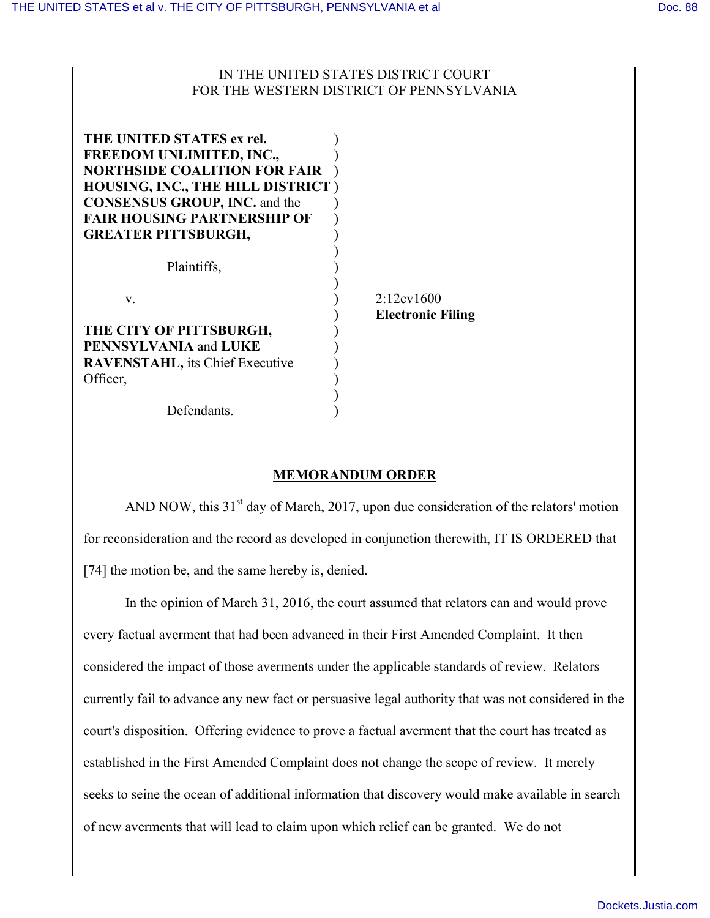## IN THE UNITED STATES DISTRICT COURT FOR THE WESTERN DISTRICT OF PENNSYLVANIA

| THE UNITED STATES ex rel.<br><b>FREEDOM UNLIMITED, INC.,</b><br><b>NORTHSIDE COALITION FOR FAIR</b><br><b>HOUSING, INC., THE HILL DISTRICT)</b><br><b>CONSENSUS GROUP, INC. and the</b><br><b>FAIR HOUSING PARTNERSHIP OF</b><br><b>GREATER PITTSBURGH,</b> |                                                   |
|-------------------------------------------------------------------------------------------------------------------------------------------------------------------------------------------------------------------------------------------------------------|---------------------------------------------------|
| Plaintiffs,                                                                                                                                                                                                                                                 |                                                   |
| V<br>THE CITY OF PITTSBURGH,                                                                                                                                                                                                                                | $2:12 \text{cv} 1600$<br><b>Electronic Filing</b> |
| <b>PENNSYLVANIA and LUKE</b>                                                                                                                                                                                                                                |                                                   |
| <b>RAVENSTAHL</b> , its Chief Executive                                                                                                                                                                                                                     |                                                   |
| Officer,                                                                                                                                                                                                                                                    |                                                   |
|                                                                                                                                                                                                                                                             |                                                   |
| Defendants.                                                                                                                                                                                                                                                 |                                                   |

## **MEMORANDUM ORDER**

AND NOW, this  $31<sup>st</sup>$  day of March, 2017, upon due consideration of the relators' motion for reconsideration and the record as developed in conjunction therewith, IT IS ORDERED that [74] the motion be, and the same hereby is, denied.

In the opinion of March 31, 2016, the court assumed that relators can and would prove every factual averment that had been advanced in their First Amended Complaint. It then considered the impact of those averments under the applicable standards of review. Relators currently fail to advance any new fact or persuasive legal authority that was not considered in the court's disposition. Offering evidence to prove a factual averment that the court has treated as established in the First Amended Complaint does not change the scope of review. It merely seeks to seine the ocean of additional information that discovery would make available in search of new averments that will lead to claim upon which relief can be granted. We do not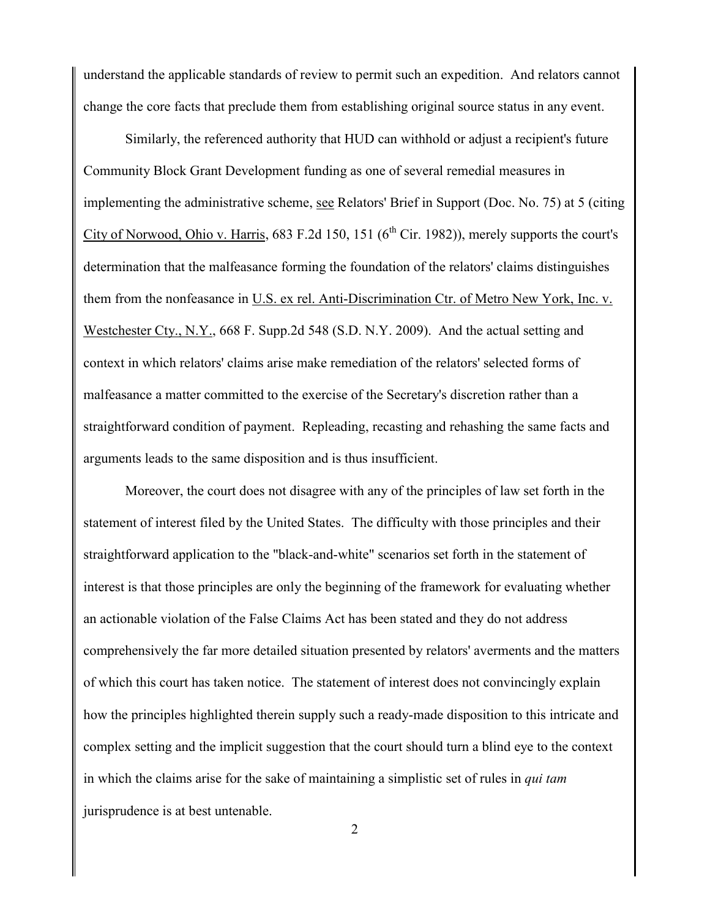understand the applicable standards of review to permit such an expedition. And relators cannot change the core facts that preclude them from establishing original source status in any event.

Similarly, the referenced authority that HUD can withhold or adjust a recipient's future Community Block Grant Development funding as one of several remedial measures in implementing the administrative scheme, see Relators' Brief in Support (Doc. No. 75) at 5 (citing City of Norwood, Ohio v. Harris, 683 F.2d 150, 151 ( $6<sup>th</sup>$  Cir. 1982)), merely supports the court's determination that the malfeasance forming the foundation of the relators' claims distinguishes them from the nonfeasance in U.S. ex rel. Anti-Discrimination Ctr. of Metro New York, Inc. v. Westchester Cty., N.Y., 668 F. Supp.2d 548 (S.D. N.Y. 2009). And the actual setting and context in which relators' claims arise make remediation of the relators' selected forms of malfeasance a matter committed to the exercise of the Secretary's discretion rather than a straightforward condition of payment. Repleading, recasting and rehashing the same facts and arguments leads to the same disposition and is thus insufficient.

Moreover, the court does not disagree with any of the principles of law set forth in the statement of interest filed by the United States. The difficulty with those principles and their straightforward application to the "black-and-white" scenarios set forth in the statement of interest is that those principles are only the beginning of the framework for evaluating whether an actionable violation of the False Claims Act has been stated and they do not address comprehensively the far more detailed situation presented by relators' averments and the matters of which this court has taken notice. The statement of interest does not convincingly explain how the principles highlighted therein supply such a ready-made disposition to this intricate and complex setting and the implicit suggestion that the court should turn a blind eye to the context in which the claims arise for the sake of maintaining a simplistic set of rules in *qui tam* jurisprudence is at best untenable.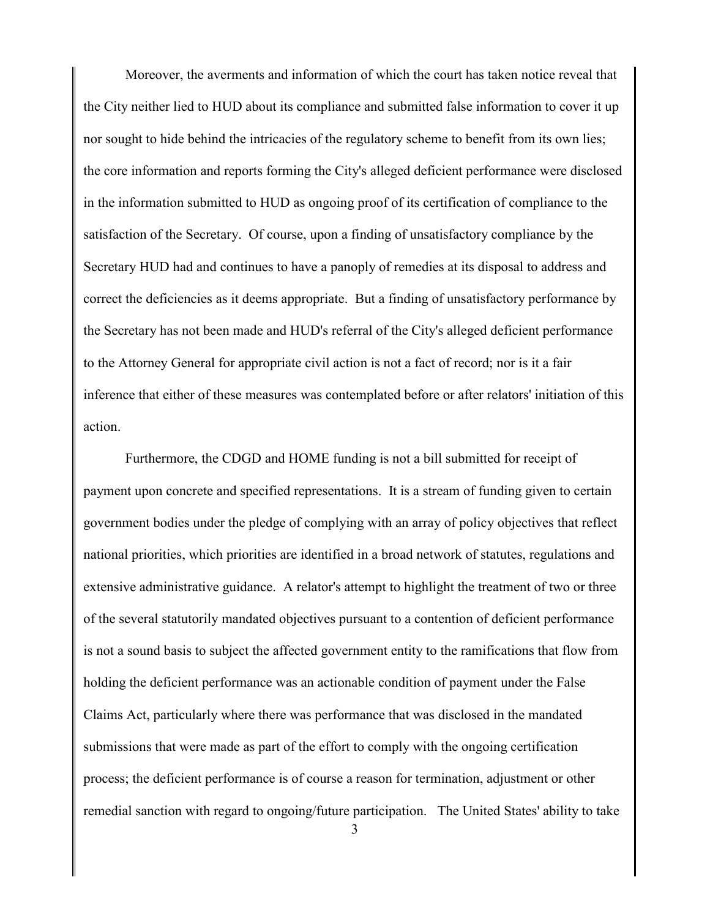Moreover, the averments and information of which the court has taken notice reveal that the City neither lied to HUD about its compliance and submitted false information to cover it up nor sought to hide behind the intricacies of the regulatory scheme to benefit from its own lies; the core information and reports forming the City's alleged deficient performance were disclosed in the information submitted to HUD as ongoing proof of its certification of compliance to the satisfaction of the Secretary. Of course, upon a finding of unsatisfactory compliance by the Secretary HUD had and continues to have a panoply of remedies at its disposal to address and correct the deficiencies as it deems appropriate. But a finding of unsatisfactory performance by the Secretary has not been made and HUD's referral of the City's alleged deficient performance to the Attorney General for appropriate civil action is not a fact of record; nor is it a fair inference that either of these measures was contemplated before or after relators' initiation of this action.

Furthermore, the CDGD and HOME funding is not a bill submitted for receipt of payment upon concrete and specified representations. It is a stream of funding given to certain government bodies under the pledge of complying with an array of policy objectives that reflect national priorities, which priorities are identified in a broad network of statutes, regulations and extensive administrative guidance. A relator's attempt to highlight the treatment of two or three of the several statutorily mandated objectives pursuant to a contention of deficient performance is not a sound basis to subject the affected government entity to the ramifications that flow from holding the deficient performance was an actionable condition of payment under the False Claims Act, particularly where there was performance that was disclosed in the mandated submissions that were made as part of the effort to comply with the ongoing certification process; the deficient performance is of course a reason for termination, adjustment or other remedial sanction with regard to ongoing/future participation. The United States' ability to take